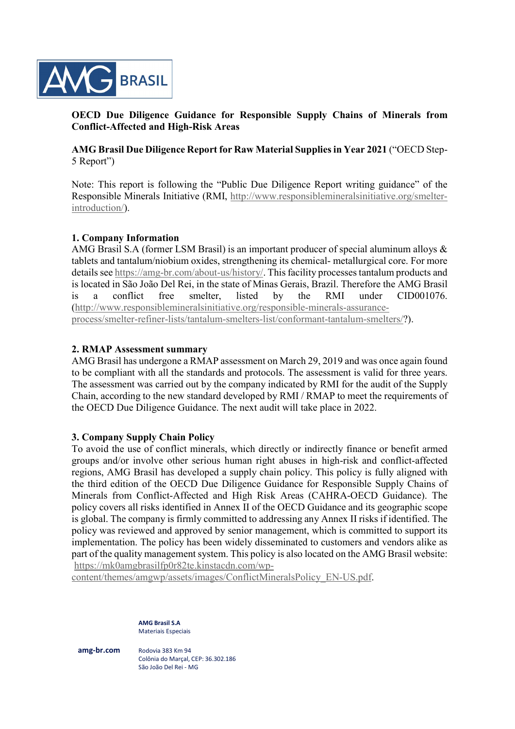

# OECD Due Diligence Guidance for Responsible Supply Chains of Minerals from Conflict-Affected and High-Risk Areas

AMG Brasil Due Diligence Report for Raw Material Supplies in Year 2021 ("OECD Step-5 Report")

Note: This report is following the "Public Due Diligence Report writing guidance" of the Responsible Minerals Initiative (RMI, http://www.responsiblemineralsinitiative.org/smelterintroduction/).

### 1. Company Information

AMG Brasil S.A (former LSM Brasil) is an important producer of special aluminum alloys & tablets and tantalum/niobium oxides, strengthening its chemical- metallurgical core. For more details see https://amg-br.com/about-us/history/. This facility processes tantalum products and is located in São João Del Rei, in the state of Minas Gerais, Brazil. Therefore the AMG Brasil is a conflict free smelter, listed by the RMI under CID001076. (http://www.responsiblemineralsinitiative.org/responsible-minerals-assuranceprocess/smelter-refiner-lists/tantalum-smelters-list/conformant-tantalum-smelters/?).

## 2. RMAP Assessment summary

AMG Brasil has undergone a RMAP assessment on March 29, 2019 and was once again found to be compliant with all the standards and protocols. The assessment is valid for three years. The assessment was carried out by the company indicated by RMI for the audit of the Supply Chain, according to the new standard developed by RMI / RMAP to meet the requirements of the OECD Due Diligence Guidance. The next audit will take place in 2022.

# 3. Company Supply Chain Policy

To avoid the use of conflict minerals, which directly or indirectly finance or benefit armed groups and/or involve other serious human right abuses in high-risk and conflict-affected regions, AMG Brasil has developed a supply chain policy. This policy is fully aligned with the third edition of the OECD Due Diligence Guidance for Responsible Supply Chains of Minerals from Conflict-Affected and High Risk Areas (CAHRA-OECD Guidance). The policy covers all risks identified in Annex II of the OECD Guidance and its geographic scope is global. The company is firmly committed to addressing any Annex II risks if identified. The policy was reviewed and approved by senior management, which is committed to support its implementation. The policy has been widely disseminated to customers and vendors alike as part of the quality management system. This policy is also located on the AMG Brasil website: https://mk0amgbrasilfp0r82te.kinstacdn.com/wp-

content/themes/amgwp/assets/images/ConflictMineralsPolicy\_EN-US.pdf.

AMG Brasil S.A Materiais Especiais

amg-br.com Rodovia 383 Km 94

 Colônia do Marçal, CEP: 36.302.186 São João Del Rei - MG